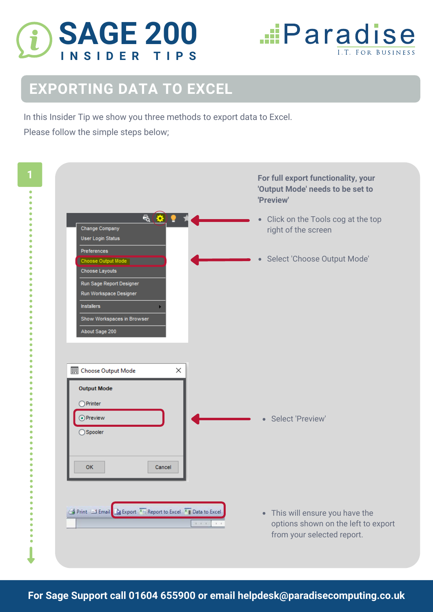



## **EXPORTING DATA TO EXCEL**

In this Insider Tip we show you three methods to export data to Excel.

Please follow the simple steps below;

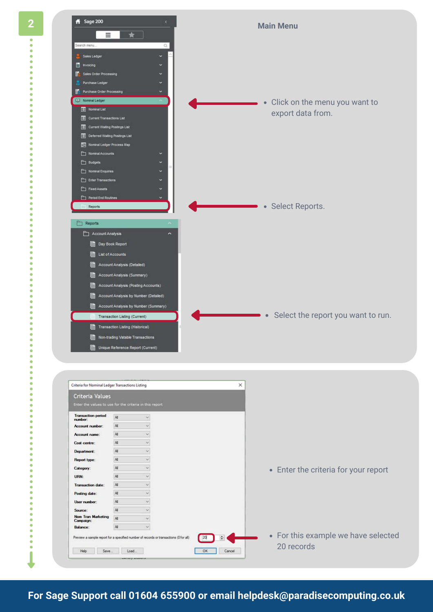

| Criteria Values                                                                       |               |                      |              |                                      |
|---------------------------------------------------------------------------------------|---------------|----------------------|--------------|--------------------------------------|
| Enter the values to use for the criteria in this report                               |               |                      |              |                                      |
| <b>Transaction period</b><br>number:                                                  | $\mathcal{M}$ | v                    |              |                                      |
| <b>Account number:</b>                                                                | All           | $\sim$               |              |                                      |
| Account name:                                                                         | All           | $\dot{\mathbf{v}}$   |              |                                      |
| Cost centre:                                                                          | A             | $\mathcal{L}$        |              |                                      |
| Department:                                                                           | A8            | $\sim$               |              |                                      |
| Report type:                                                                          | A             | $\sim$               |              |                                      |
| Category:                                                                             | All           | $\omega$             |              | • Enter the criteria for your report |
| URN:                                                                                  | $A\$          | $\ddot{\phantom{1}}$ |              |                                      |
| Transaction date:                                                                     | AI.           | $\mathbf{v}$         |              |                                      |
| Posting date:                                                                         | All           | $\sim$               |              |                                      |
| User number:                                                                          | All           | $\ddot{}$            |              |                                      |
| Source:                                                                               | All           | $\checkmark$         |              |                                      |
| Nom Tran Marketing<br>Campaign:                                                       | All.          | $\checkmark$         |              |                                      |
| Balance:                                                                              | All           | u                    |              |                                      |
| Preview a sample report for a specified number of records or transactions (0 for all) |               |                      | ٠<br>20      | • For this example we have selected  |
| Help<br>Save                                                                          | Load          |                      | OK<br>Cancel | 20 records                           |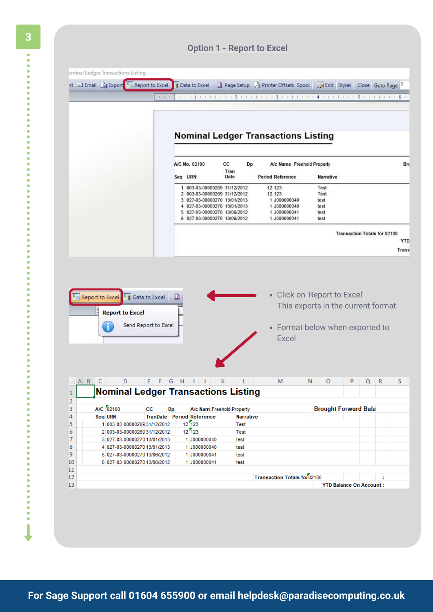|                                                                                                                                                                                                                               |                                 |                                                              |               | ominal Ledger Transactions Listing                           |
|-------------------------------------------------------------------------------------------------------------------------------------------------------------------------------------------------------------------------------|---------------------------------|--------------------------------------------------------------|---------------|--------------------------------------------------------------|
|                                                                                                                                                                                                                               |                                 |                                                              |               |                                                              |
| Data to Excel   Page Setup   B Printer Offsets Spool   Edit   Styles   Close   Goto Page                                                                                                                                      |                                 |                                                              |               | nt El Email B Export<br>Report to Excel                      |
| 1 1 1 1 1 1 1 1 1 1 1 2 1 1 1 1 1 1 1 2 3 4 5 6 7 8 9 900 1 2 4 5 6 7 8 9 00 1 2 3 4 5 6 7 8 9 00 1 2 3 4 5 6 7 8 9 00 1 2 3 4 5 6 7 8 9 00 1 2 3 4 5 6 7 8 9 00 1 2 3 4 5 6 7 8 9 00 1 2 3 4 5 6 7 8 900 1 2 3 4 5 6 7 8 900 |                                 |                                                              | $1.1 - 4 - 4$ |                                                              |
|                                                                                                                                                                                                                               |                                 |                                                              |               |                                                              |
|                                                                                                                                                                                                                               |                                 |                                                              |               |                                                              |
|                                                                                                                                                                                                                               |                                 |                                                              |               |                                                              |
| <b>Nominal Ledger Transactions Listing</b>                                                                                                                                                                                    |                                 |                                                              |               |                                                              |
|                                                                                                                                                                                                                               |                                 |                                                              |               |                                                              |
|                                                                                                                                                                                                                               |                                 |                                                              |               |                                                              |
| A/c Name Freehold Property                                                                                                                                                                                                    | СC<br>Dp<br>Tran                |                                                              | A/C No. 02100 |                                                              |
| Narrative                                                                                                                                                                                                                     | Date<br><b>Period Reference</b> |                                                              | Seq URN       |                                                              |
| Test                                                                                                                                                                                                                          | 12 123                          | 1 003-03-00000269 31/12/2012                                 |               |                                                              |
| Test<br>1 J000000040<br>test                                                                                                                                                                                                  | 12 123                          | 2 003-03-00000269 31/12/2012<br>3 027-03-00000270 13/01/2013 |               |                                                              |
| 1 J000000040<br>test                                                                                                                                                                                                          |                                 | 4 027-03-00000270 13/01/2013                                 |               |                                                              |
| 1 J000000041<br>test                                                                                                                                                                                                          |                                 | 5 027-03-00000270 13/06/2012                                 |               |                                                              |
| 1 J000000041<br>test                                                                                                                                                                                                          |                                 | 6 027-03-00000270 13/06/2012                                 |               |                                                              |
| <b>Transaction Totals for 02100</b>                                                                                                                                                                                           |                                 |                                                              |               |                                                              |
|                                                                                                                                                                                                                               |                                 |                                                              |               |                                                              |
|                                                                                                                                                                                                                               |                                 |                                                              |               |                                                              |
| • Click on 'Report to Excel'                                                                                                                                                                                                  |                                 |                                                              | 口             | Report to Excel<br><sup>x</sup> Data to Excel                |
| This exports in the current format<br>• Format below when exported to<br>Excel                                                                                                                                                |                                 |                                                              |               | <b>Report to Excel</b><br>Send Report to Excel               |
| M<br>N.<br>$\mathbf{O}$<br>P <sub>b</sub>                                                                                                                                                                                     | ABC DEFGHIJK L                  |                                                              |               |                                                              |
|                                                                                                                                                                                                                               |                                 |                                                              |               | <b>Nominal Ledger Transactions Listing</b>                   |
| <b>Brought Forward Bala</b>                                                                                                                                                                                                   |                                 | A/c Nam Freehold Property                                    | Dp            | A/C 02100<br>CC                                              |
|                                                                                                                                                                                                                               | <b>Narrative</b>                | TranDate Period Reference                                    |               | Seq URN                                                      |
|                                                                                                                                                                                                                               | <b>Test</b>                     | 12 123                                                       |               | 1 003-03-00000269 31/12/2012                                 |
|                                                                                                                                                                                                                               | <b>Test</b><br>test             | 12 123<br>1 J000000040                                       |               | 2 003-03-00000269 31/12/2012<br>3 027-03-00000270 13/01/2013 |
|                                                                                                                                                                                                                               | test                            | 1 J000000040                                                 |               | 4 027-03-00000270 13/01/2013                                 |
|                                                                                                                                                                                                                               | test                            | 1 J000000041                                                 |               | 5 027-03-00000270 13/06/2012                                 |
|                                                                                                                                                                                                                               | test                            | 1 J000000041                                                 |               | 6 027-03-00000270 13/06/2012                                 |
| <b>Transaction Totals for 02100</b>                                                                                                                                                                                           |                                 |                                                              |               |                                                              |

ò ó  $\ddot{\phantom{0}}$ 

.....

Ċ  $\ddot{\bullet}$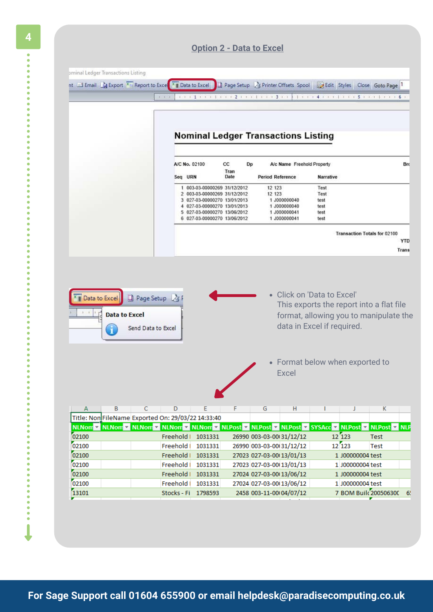